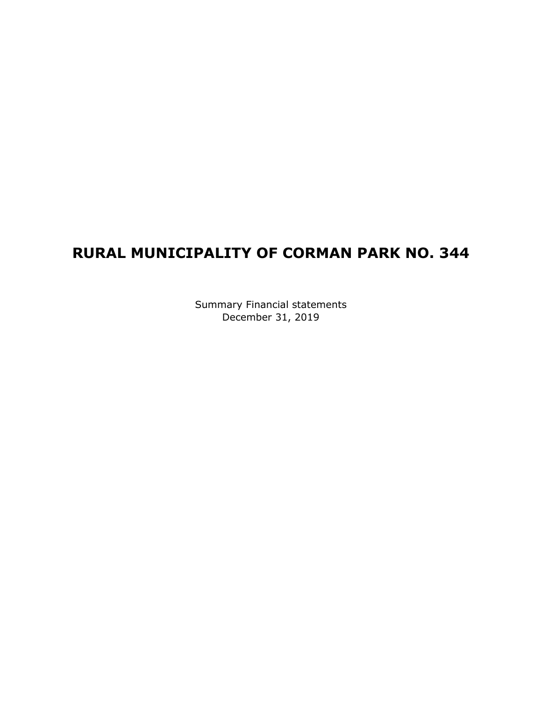## **RURAL MUNICIPALITY OF CORMAN PARK NO. 344**

Summary Financial statements December 31, 2019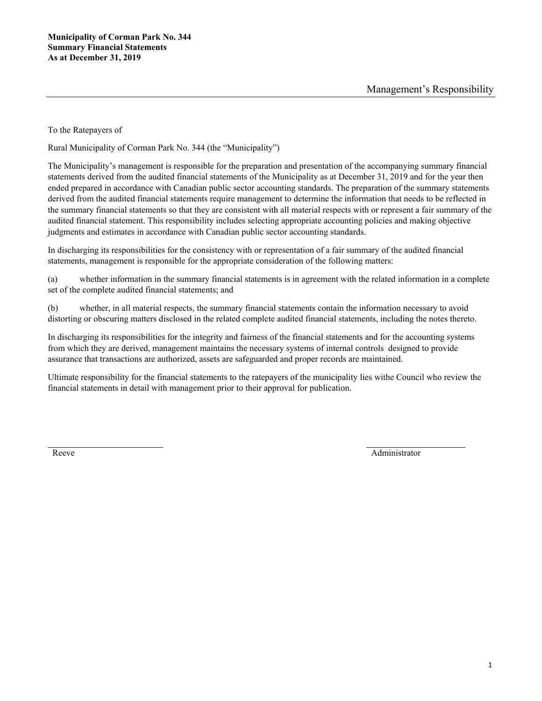To the Ratepayers of

Rural Municipality of Corman Park No. 344 (the "Municipality")

The Municipality's management is responsible for the preparation and presentation of the accompanying summary financial statements derived from the audited financial statements of the Municipality as at December 31, 2019 and for the year then ended prepared in accordance with Canadian public sector accounting standards. The preparation of the summary statements derived from the audited financial statements require management to determine the information that needs to be reflected in the summary financial statements so that they are consistent with all material respects with or represent a fair summary of the audited financial statement. This responsibility includes selecting appropriate accounting policies and making objective judgments and estimates in accordance with Canadian public sector accounting standards.

In discharging its responsibilities for the consistency with or representation of a fair summary of the audited financial statements, management is responsible for the appropriate consideration of the following matters:

(a) whether information in the summary financial statements is in agreement with the related information in a complete set of the complete audited financial statements; and

(b) whether, in all material respects, the summary financial statements contain the information necessary to avoid distorting or obscuring matters disclosed in the related complete audited financial statements, including the notes thereto.

In discharging its responsibilities for the integrity and fairness of the financial statements and for the accounting systems from which they are derived, management maintains the necessary systems of internal controls designed to provide assurance that transactions are authorized, assets are safeguarded and proper records are maintained.

Ultimate responsibility for the financial statements to the ratepayers of the municipality lies withe Council who review the financial statements in detail with management prior to their approval for publication.

Reeve Administrator Administrator Administrator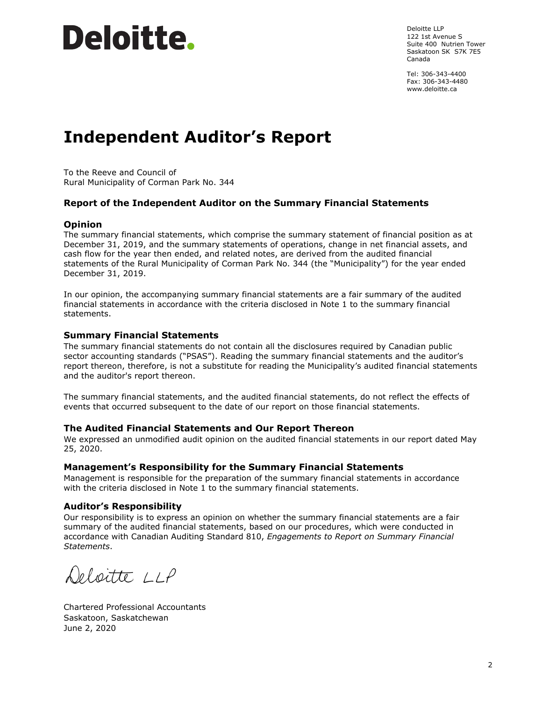# Deloitte.

Deloitte LLP 122 1st Avenue S Suite 400 Nutrien Tower Saskatoon SK S7K 7E5 Canada

Tel: 306-343-4400 Fax: 306-343-4480 www.deloitte.ca

## **Independent Auditor's Report**

To the Reeve and Council of Rural Municipality of Corman Park No. 344

### **Report of the Independent Auditor on the Summary Financial Statements**

#### **Opinion**

The summary financial statements, which comprise the summary statement of financial position as at December 31, 2019, and the summary statements of operations, change in net financial assets, and cash flow for the year then ended, and related notes, are derived from the audited financial statements of the Rural Municipality of Corman Park No. 344 (the "Municipality") for the year ended December 31, 2019.

In our opinion, the accompanying summary financial statements are a fair summary of the audited financial statements in accordance with the criteria disclosed in Note 1 to the summary financial statements.

#### **Summary Financial Statements**

The summary financial statements do not contain all the disclosures required by Canadian public sector accounting standards ("PSAS"). Reading the summary financial statements and the auditor's report thereon, therefore, is not a substitute for reading the Municipality's audited financial statements and the auditor's report thereon.

The summary financial statements, and the audited financial statements, do not reflect the effects of events that occurred subsequent to the date of our report on those financial statements.

#### **The Audited Financial Statements and Our Report Thereon**

We expressed an unmodified audit opinion on the audited financial statements in our report dated May 25, 2020.

#### **Management's Responsibility for the Summary Financial Statements**

Management is responsible for the preparation of the summary financial statements in accordance with the criteria disclosed in Note 1 to the summary financial statements.

#### **Auditor's Responsibility**

Our responsibility is to express an opinion on whether the summary financial statements are a fair summary of the audited financial statements, based on our procedures, which were conducted in accordance with Canadian Auditing Standard 810, *Engagements to Report on Summary Financial Statements*.

Deloitte LLP

Chartered Professional Accountants Saskatoon, Saskatchewan June 2, 2020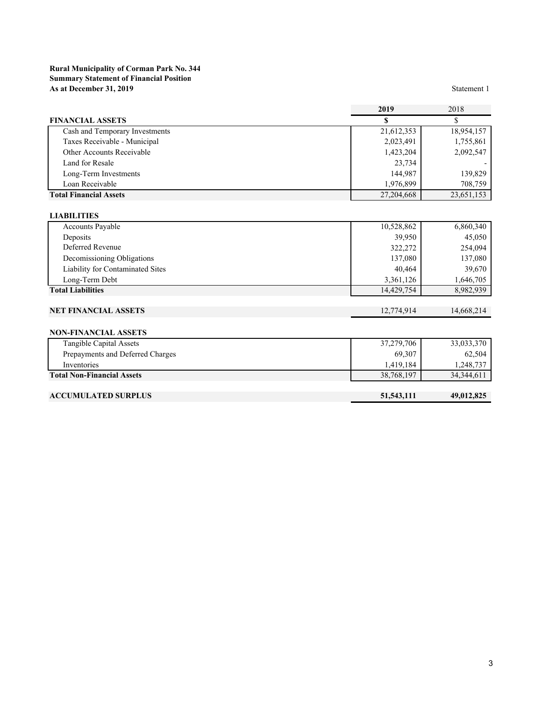#### **Rural Municipality of Corman Park No. 344 Summary Statement of Financial Position As at December 31, 2019** Statement 1

|                                  | 2019       | 2018       |
|----------------------------------|------------|------------|
| <b>FINANCIAL ASSETS</b>          | <b>S</b>   | \$         |
| Cash and Temporary Investments   | 21,612,353 | 18,954,157 |
| Taxes Receivable - Municipal     | 2,023,491  | 1,755,861  |
| Other Accounts Receivable        | 1,423,204  | 2,092,547  |
| Land for Resale                  | 23,734     |            |
| Long-Term Investments            | 144,987    | 139,829    |
| Loan Receivable                  | 1,976,899  | 708,759    |
| <b>Total Financial Assets</b>    | 27,204,668 | 23,651,153 |
| <b>LIABILITIES</b>               |            |            |
| <b>Accounts Payable</b>          | 10,528,862 | 6,860,340  |
| Deposits                         | 39,950     | 45,050     |
| Deferred Revenue                 | 322,272    | 254,094    |
| Decomissioning Obligations       | 137,080    | 137,080    |
| Liability for Contaminated Sites | 40,464     | 39,670     |
| Long-Term Debt                   | 3,361,126  | 1,646,705  |
| <b>Total Liabilities</b>         | 14,429,754 | 8,982,939  |
|                                  |            |            |
| <b>NET FINANCIAL ASSETS</b>      | 12,774,914 | 14,668,214 |
|                                  |            |            |

#### **NON-FINANCIAL ASSETS**

| Tangible Capital Assets           | 37,279,706 | 33,033,370   |
|-----------------------------------|------------|--------------|
| Prepayments and Deferred Charges  | 69.307     | 62,504       |
| Inventories                       | 1.419.184  | 248,737. ا   |
| <b>Total Non-Financial Assets</b> | 38,768,197 | 34, 344, 611 |
|                                   |            |              |

#### **ACCUMULATED SURPLUS 51,543,111 49,012,825**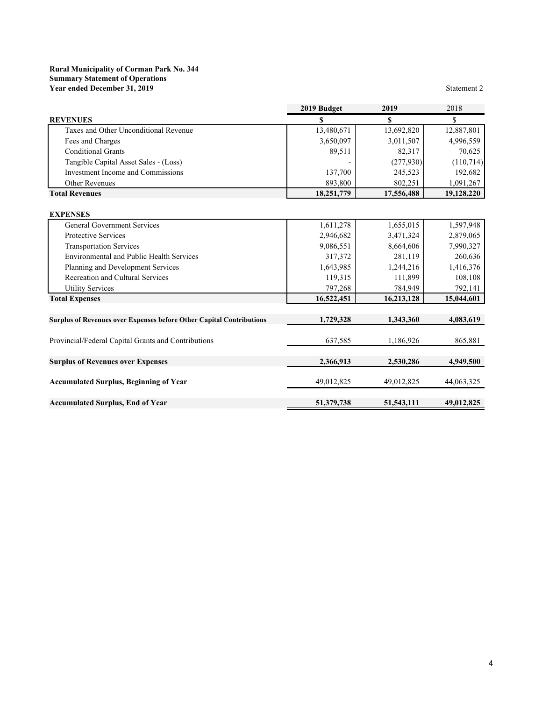#### **Rural Municipality of Corman Park No. 344 Summary Statement of Operations Year ended December 31, 2019** Statement 2

|                                                                             | 2019 Budget | 2019         | 2018       |
|-----------------------------------------------------------------------------|-------------|--------------|------------|
| <b>REVENUES</b>                                                             | S           | S            | \$         |
| Taxes and Other Unconditional Revenue                                       | 13,480,671  | 13,692,820   | 12,887,801 |
| Fees and Charges                                                            | 3,650,097   | 3,011,507    | 4,996,559  |
| <b>Conditional Grants</b>                                                   | 89,511      | 82,317       | 70,625     |
| Tangible Capital Asset Sales - (Loss)                                       |             | (277,930)    | (110,714)  |
| Investment Income and Commissions                                           | 137,700     | 245,523      | 192,682    |
| Other Revenues                                                              | 893,800     | 802,251      | 1,091,267  |
| <b>Total Revenues</b>                                                       | 18,251,779  | 17,556,488   | 19,128,220 |
| <b>EXPENSES</b>                                                             |             |              |            |
| <b>General Government Services</b>                                          | 1,611,278   | 1,655,015    | 1,597,948  |
| Protective Services                                                         | 2,946,682   | 3,471,324    | 2,879,065  |
| <b>Transportation Services</b>                                              | 9,086,551   | 8,664,606    | 7,990,327  |
| <b>Environmental and Public Health Services</b>                             | 317,372     | 281,119      | 260,636    |
| Planning and Development Services                                           | 1,643,985   | 1,244,216    | 1,416,376  |
| Recreation and Cultural Services                                            | 119,315     | 111,899      | 108,108    |
| <b>Utility Services</b>                                                     | 797,268     | 784,949      | 792,141    |
| <b>Total Expenses</b>                                                       | 16,522,451  | 16,213,128   | 15,044,601 |
| <b>Surplus of Revenues over Expenses before Other Capital Contributions</b> | 1,729,328   | 1,343,360    | 4,083,619  |
|                                                                             |             |              |            |
| Provincial/Federal Capital Grants and Contributions                         | 637,585     | 1,186,926    | 865,881    |
| <b>Surplus of Revenues over Expenses</b>                                    | 2,366,913   | 2,530,286    | 4,949,500  |
|                                                                             |             |              |            |
| <b>Accumulated Surplus, Beginning of Year</b>                               | 49,012,825  | 49,012,825   | 44,063,325 |
| <b>Accumulated Surplus, End of Year</b>                                     | 51,379,738  | 51, 543, 111 | 49,012,825 |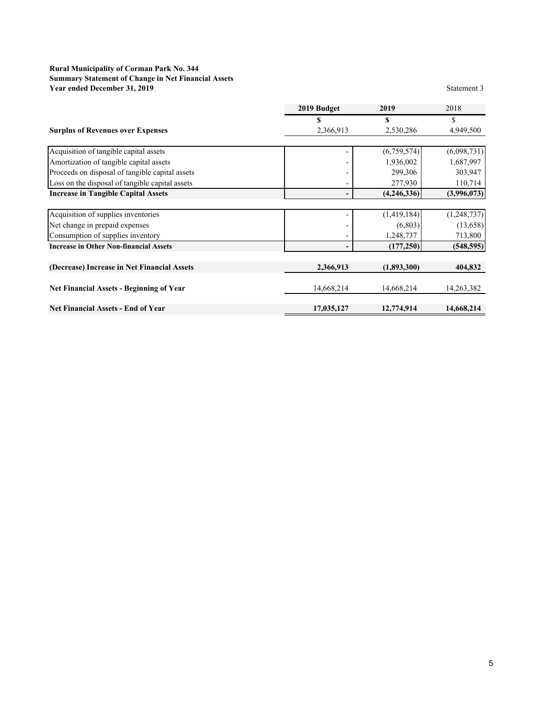#### **Rural Municipality of Corman Park No. 344 Summary Statement of Change in Net Financial Assets Year ended December 31, 2019** Statement 3

|                                                 | 2019 Budget | 2019        | 2018        |
|-------------------------------------------------|-------------|-------------|-------------|
|                                                 |             | \$          |             |
| <b>Surplus of Revenues over Expenses</b>        | 2,366,913   | 2,530,286   | 4,949,500   |
|                                                 |             |             |             |
| Acquisition of tangible capital assets          |             | (6,759,574) | (6,098,731) |
| Amortization of tangible capital assets         |             | 1,936,002   | 1,687,997   |
| Proceeds on disposal of tangible capital assets |             | 299,306     | 303,947     |
| Loss on the disposal of tangible capital assets |             | 277,930     | 110,714     |
| <b>Increase in Tangible Capital Assets</b>      |             | (4,246,336) | (3,996,073) |
|                                                 |             |             |             |
| Acquisition of supplies inventories             |             | (1,419,184) | (1,248,737) |
| Net change in prepaid expenses                  |             | (6,803)     | (13,658)    |
| Consumption of supplies inventory               |             | 1,248,737   | 713,800     |
| <b>Increase in Other Non-financial Assets</b>   |             | (177, 250)  | (548, 595)  |
| (Decrease) Increase in Net Financial Assets     | 2,366,913   | (1,893,300) | 404,832     |
|                                                 |             |             |             |
| <b>Net Financial Assets - Beginning of Year</b> | 14,668,214  | 14,668,214  | 14,263,382  |
| <b>Net Financial Assets - End of Year</b>       | 17,035,127  | 12,774,914  | 14,668,214  |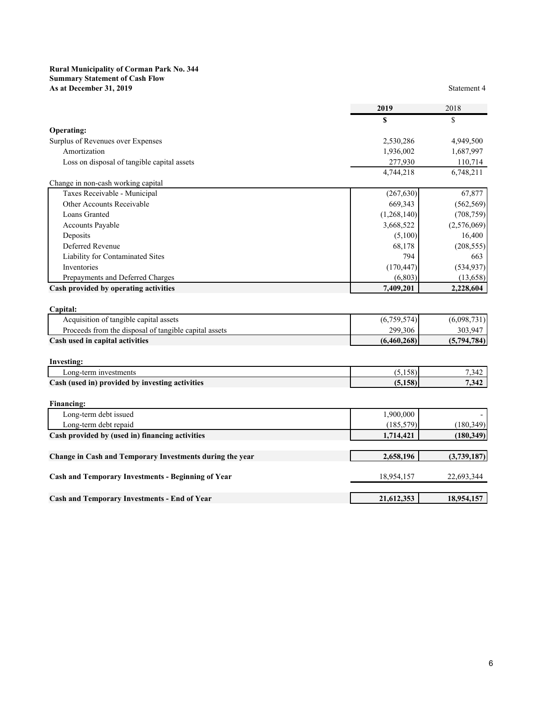#### **Rural Municipality of Corman Park No. 344 Summary Statement of Cash Flow As at December 31, 2019** Statement 4

| Operating:                                  |             |             |
|---------------------------------------------|-------------|-------------|
| Surplus of Revenues over Expenses           | 2,530,286   | 4,949,500   |
| Amortization                                | 1,936,002   | 1,687,997   |
| Loss on disposal of tangible capital assets | 277,930     | 110,714     |
|                                             | 4,744,218   | 6,748,211   |
| Change in non-cash working capital          |             |             |
| Taxes Receivable - Municipal                | (267, 630)  | 67,877      |
| Other Accounts Receivable                   | 669,343     | (562, 569)  |
| Loans Granted                               | (1,268,140) | (708, 759)  |
| <b>Accounts Payable</b>                     | 3,668,522   | (2,576,069) |
| Deposits                                    | (5,100)     | 16,400      |
| Deferred Revenue                            | 68,178      | (208, 555)  |
| Liability for Contaminated Sites            | 794         | 663         |
| Inventories                                 | (170, 447)  | (534, 937)  |
| Prepayments and Deferred Charges            | (6,803)     | (13,658)    |

Cash provided by operating activities **7,409,201** 2,228,604

| <b>Capital:</b>                                       |             |             |
|-------------------------------------------------------|-------------|-------------|
| Acquisition of tangible capital assets                | (6,759,574) | (6,098,731) |
| Proceeds from the disposal of tangible capital assets | 299,306     | 303,947     |
| Cash used in capital activities                       | (6.460.268) | (5,794,784) |

| Investing:                                      |     |       |
|-------------------------------------------------|-----|-------|
| Long-term investments                           | 501 | 1.342 |
| Cash (used in) provided by investing activities | 1EQ | 7.342 |

| <b>Financing:</b>                                         |            |             |
|-----------------------------------------------------------|------------|-------------|
| Long-term debt issued                                     | 1,900,000  |             |
| Long-term debt repaid                                     | (185, 579) | (180, 349)  |
| Cash provided by (used in) financing activities           | 1,714,421  | (180, 349)  |
|                                                           |            |             |
| Change in Cash and Temporary Investments during the year  | 2,658,196  | (3,739,187) |
|                                                           |            |             |
| <b>Cash and Temporary Investments - Beginning of Year</b> | 18,954,157 | 22,693,344  |
|                                                           |            |             |
| <b>Cash and Temporary Investments - End of Year</b>       | 21,612,353 | 18,954,157  |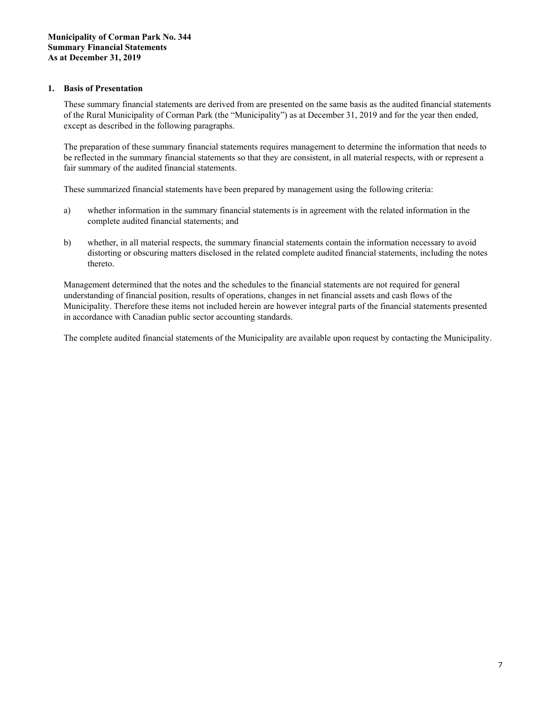#### **1. Basis of Presentation**

These summary financial statements are derived from are presented on the same basis as the audited financial statements of the Rural Municipality of Corman Park (the "Municipality") as at December 31, 2019 and for the year then ended, except as described in the following paragraphs.

The preparation of these summary financial statements requires management to determine the information that needs to be reflected in the summary financial statements so that they are consistent, in all material respects, with or represent a fair summary of the audited financial statements.

These summarized financial statements have been prepared by management using the following criteria:

- a) whether information in the summary financial statements is in agreement with the related information in the complete audited financial statements; and
- b) whether, in all material respects, the summary financial statements contain the information necessary to avoid distorting or obscuring matters disclosed in the related complete audited financial statements, including the notes thereto.

Management determined that the notes and the schedules to the financial statements are not required for general understanding of financial position, results of operations, changes in net financial assets and cash flows of the Municipality. Therefore these items not included herein are however integral parts of the financial statements presented in accordance with Canadian public sector accounting standards.

The complete audited financial statements of the Municipality are available upon request by contacting the Municipality.